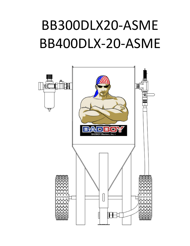# BB300DLX20-ASME BB400DLX-20-ASME

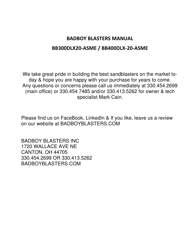## **BADBOY BLASTERS MANUAL BB300DLX20-ASME / BB400DLX-20-ASME**

We take great pride in building the best sandblasters on the market today & hope you are happy with your purchase for years to come. Any questions or concerns please call us immediately at 330.454.2699 (main office) or 330.454.7485 and/or 330.413.5262 for owner & tech specialist Mark Cain.

Please find us on FaceBook, LinkedIn & If you like, leave us a review on our website at BADBOYBLASTERS.COM

BADBOY BLASTERS INC 1720 WALLACE AVE NE CANTON, OH 44705 330.454.2699 OR 330.413.5262 BADBOYBLASTERS.COM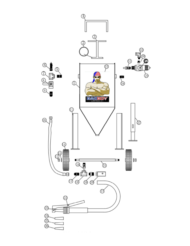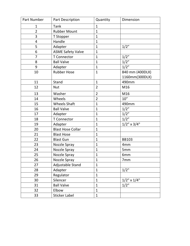| Part Number    | Part Description         | Quantity       | Dimension         |
|----------------|--------------------------|----------------|-------------------|
| 1              | Tank                     | $\mathbf{1}$   |                   |
| $\overline{2}$ | <b>Rubber Mount</b>      | $\mathbf{1}$   |                   |
| 3              | T Stopper                | $\mathbf{1}$   |                   |
| 4              | Handle                   | $\mathbf{1}$   |                   |
| 5              | Adapter                  | $\mathbf{1}$   | 1/2"              |
| 6              | <b>ASME Safety Valve</b> | $\mathbf{1}$   |                   |
| $\overline{7}$ | <b>T</b> Connector       | $\mathbf{1}$   | 1/2"              |
| 8              | <b>Ball Valve</b>        | $\mathbf{1}$   | 1/2"              |
| 9              | Adapter                  | $\mathbf{1}$   | 1/2"              |
| 10             | <b>Rubber Hose</b>       | $\mathbf{1}$   | 840 mm (400DLX)   |
|                |                          |                | 1160mm(300DLX)    |
| 11             | Stand                    | $\mathbf{1}$   | 490mm             |
| 12             | <b>Nut</b>               | $\overline{2}$ | M16               |
| 13             | Washer                   | $\overline{2}$ | M16               |
| 14             | Wheels                   | $\overline{2}$ | 10''              |
| 15             | <b>Wheels Shaft</b>      | $\mathbf{1}$   | 490mm             |
| 16             | <b>Ball Valve</b>        | $\mathbf{1}$   | 1/2"              |
| 17             | Adapter                  | $\mathbf{1}$   | 1/2"              |
| 18             | <b>T</b> Connector       | $\mathbf{1}$   | 1/2"              |
| 19             | Adapter                  | $\mathbf{1}$   | $1/2''$ x 3/4"    |
| 20             | <b>Blast Hose Collar</b> | $\mathbf{1}$   |                   |
| 21             | <b>Blast Hose</b>        | $\mathbf{1}$   |                   |
| 22             | <b>Blast Gun</b>         | $\mathbf{1}$   | <b>BB103</b>      |
| 23             | Nozzle Spray             | $\mathbf{1}$   | 4 <sub>mm</sub>   |
| 24             | Nozzle Spray             | $\mathbf{1}$   | 5mm               |
| 25             | Nozzle Spray             | $\mathbf{1}$   | 6 <sub>mm</sub>   |
| 26             | Nozzle Spray             | $\mathbf{1}$   | 7 <sub>mm</sub>   |
| 27             | Adjustable Stand         | $\mathbf{1}$   |                   |
| 28             | Adapter                  | $\mathbf{1}$   | $1/2$ "           |
| 29             | Regulator                | $\mathbf{1}$   |                   |
| 30             | Silencer                 | $\mathbf{1}$   | $1/2$ " x $1/4$ " |
| 31             | <b>Ball Valve</b>        | $\mathbf{1}$   | $1/2$ "           |
| 32             | Elbow                    | $\mathbf{1}$   |                   |
| 33             | <b>Sticker Label</b>     | $\mathbf{1}$   |                   |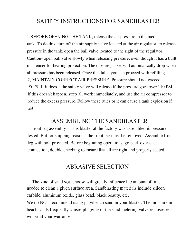### SAFETY INSTRUCTIONS FOR SANDBLASTER

1.BEFORE OPENING THE TANK, release the air pressure in the media tank. To do this, turn off the air supply valve located at the air regulator, to release pressure in the tank, open the ball valve located to the right of the regulator. Caution- open ball valve slowly when releasing pressure, even though it has a built in silencer for hearing protection. The closure gasket will automatically drop when all pressure has been released. Once this falls, you can proceed with refilling. 2, MAINTAIN CORRECT AIR PRESSURE -Pressure should not exceed 95 PSI If it does ~ the safety valve will release if the pressure goes over 110 PSI. If this doesn't happen, stop all work immediately, and use the air compressor to reduce the excess pressure. Follow these rules or it can cause a tank explosion if not.

#### ASSEMBLING THE SANDBLASTER

 Front leg assembly—This blaster at the factory was assembled & pressure tested. But for shipping reasons, the front leg must be removed. Assemble front leg with bolt provided. Before beginning operations, go back over each connection, double checking to ensure that all are tight and properly seated.

### ABRASIVE SELECTION

The kind of sand you choose will greatly influence the amount of time needed to clean a given surface area. Sandblasting materials include silicon carbide, aluminum oxide, glass bead, black beauty, etc. . .

We do NOT recommend using play/beach sand in your blaster. The moisture in beach sands frequently causes plugging of the sand metering valve & hoses & will void your warranty.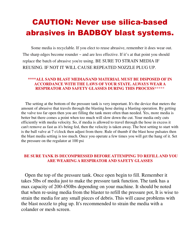# CAUTION: Never use silica-based abrasives in BADBOY blast systems.

 Some media is recyclable. If you elect to reuse abrasive, remember it does wear out. The sharp edges become rounder  $\sim$  and are less effective. If it's at that point you should replace the batch of abrasive you're using. BE SURE TO STRAIN MEDIA IF REUSING. IF NOT IT WILL CAUSE REPEATED NOZZLE PLUG UP.

#### **\*\*\*\*ALL SAND BLAST MEDIA/SAND MATERIAL MUST BE DISPOSED OF IN ACCORDANCE WITH THE LAWS OF YOUR STATE. ALWAYS WEAR A RESPIRATOR AND SAFETY GLASSES DURING THIS PROCESS**\*\*\*\*\*

The setting at the bottom of the pressure tank is very important. It's the device that meters the amount of abrasive that travels through the blasting hose during a blasting operation. By getting the valve too far open then you are filling the tank more often than needed. Yes, more media is better but there comes a point when too much will slow down the cut. Your media only cuts efficiently with media velocity. So, if media is allowed to travel through the hose in excess it can't remove as fast as it's being fed, then the velocity is taken away. The best setting to start with is the ball valve at 7 o'clock then adjust from there. Rule of thumb if the blast hose pulsates then the blast media setting is too much. Once you operate a few times you will get the hang of it. Set the pressure on the regulator at 100 psi

#### **BE SURE TANK IS DECOMPRESSED BEFORE ATTEMPING TO REFILL AND YOU ARE WEARING A RESPIRATOR AND SAFETY GLASSES**

Open the top of the pressure tank. Once open begin to fill. Remember it takes 5lbs of media just to make the pressure tank function. The tank has a max capacity of 200-450lbs depending on your machine. It should be noted that when re-using media from the blaster to refill the pressure pot, It is wise to strain the media for any small pieces of debris. This will cause problems with the blast nozzle to plug up. It's recommended to strain the media with a colander or mesh screen.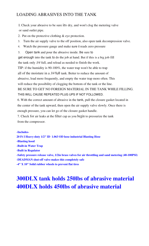## LOADING ABRASIVES INTO THE TANK

I. Check your abrasive to be sure its dry, and won't clog the metering valve or sand outlet pipe.

2. Put on the protective clothing & eye protection.

- 3. Turn the air supply valve to the off position, also open tank decompression valve.
- 4. Watch the pressure gauge and make sure it reads zero pressure
- 5. Open tank and pour the abrasive inside. Be sure to

get enough into the tank to do the job at hand. But if this is a big job fill the tank only *3/4* full, and reload as needed to finish the work. TIP: if the humidity is 90-100%, the water trap won't be able to trap all of the moisture in a *3/4* full tank. Better to reduce the amount of abrasive, load more frequently, and empty the water trap more often. This will reduce the possibility of clogging the bottom of the tank or the line. BE SURE TO GET NO FOREIGN MATERIAL IN THE TANK WHILE FILLING. THIS WILL CAUSE REPEATED PLUG UPS IF NOT FOLLOWED.

6. With the correct amount of abrasive in the tank, pull the closure gasket located in the center of the tank upward, then open the air supply valve slowly. Once there is enough pressure, you can let go of the closure gasket handle.

7. Check for air leaks at the filter cap as you begin to pressurize the tank from the compressor.

**-Includes-20 Ft I Heavy-duty 1/2″ ID 1.063 OD hose industrial Blasting Hose -Blasting hood -Built-in Water Trap -Built in Regulator -Safety pressure release valve, 1/2in brass valves for air throttling and sand metering (40-100PSI) -DEADMAN shut-off valve makes this completely safe -4″ X 10″ Solid rubber wheels to prevent flat tires**

# **300DLX tank holds 250lbs of abrasive material 400DLX holds 450lbs of abrasive material**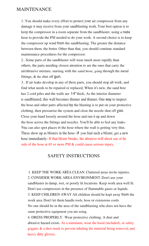#### MAINTENANCE

1. You should make every effort to protect your air compressor from any damage it may receive from your sandblasting work. Your best option is to keep the compressor in a room separate from the sandblaster, using a media hose to provide the PSI needed to do your work. A second choice is to keep the compressor up wind from the sandblasting. The greater the distance between them, the better.Other than that, you should continue standard maintenance procedures for the compressor.

2.. Some parts of the sandblaster will wear much more rapidly than others, the parts needing closest attention to are the ones that carry the air/abrasive mixture, starting with the sand hose, going through the metal fittings, & the shut off gun.

3.. If air leaks develop in any of these parts, you should stop all work, and find what needs to be repaired or replaced, When it's new, the sand hose has 2 cord piles and the walls are 1/4" thick; As the interior diameter is sandblasted, this wall becomes thinner and thinner. One way to inspect the hose and other parts affected by the blasting is to put on your protective clothing, then pressurize the system and close the nozzle shut off gun. Close your hand loosely around the hose and run it up and down the hose across the fittings and nozzles. You'll be able to feel any leaks-You can also spot places in the hose where the wall is getting very thin. These show up as blisters in the hose- if you find such a blister, get a new hose immediately- If that blister breaks, the abrasive will shoot out of the side of the hose at 65 or more PSI & could cause serious injury.

#### SAFETY INSTRUCTIONS

1. KEEP THE WORK AREA CLEAN.Cluttered areas invite injuries. 2. CONSIDER WORK AREA ENVIRONMENT.Don't use your sandblaster in damp, wet, or poorly lit locations. Keep work area well lit. Don't use compressors in the presence of flammable gases or liquids. 3. KEEP CHILDREN AWAY All children should be kept away from the work area.Don't let them handle tools, hose or extensions cords. No one should be in the area of the sandblasting who does not have the same protective equipment you are using.

4. DRESS PROPERLY. Wear protective clothing. A dust and abrasive hazard exists. As a minimum, wear the hood (included), or safety goggles & a dust mask to prevent inhaling the material being removed, and heavy duty gloves.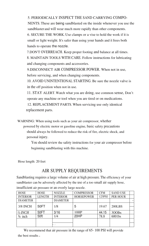#### 5. PERIODICALLY INSPECT THE SAND CARRYING COMPO-

NENTS.These are being sandblasted on the inside whenever you use the sandblaster and will wear much more rapidly than other components. 6. SECURE THE WORK. Use clamps or a vise to hold the work if it is small or light weight. It's safer than using your hands and it frees both hands to operate the nozzle.

7.DON'T OVERREACH. Keep proper footing and balance at all times. 8. MAINTAIN TOOLS WITH CARE. Follow instructions for lubricating and changing components and accessories.

9.DISCONNECT AIR COMPRESSOR POWER. When not in use, before servicing, and when changing components.

10. AVOID UNINTENTIONAL STARTING. Be sure the nozzle valve is in the off position when not in use.

11. STAY ALERT.Watch what you are doing, use common sense, Don't operate any machine or tool when you are tired or on medications.

12. REPLACEMENT PARTS.When servicing use only identical replacement parts.

WARNING: When using tools such as your air compressor, whether

 powered by electric motor or gasoline engine, basic safety precautions should always be followed to reduce the risk of fire, electric shock, and personal injury.

You should review the safety instructions for your air compressor before beginning sandblasting with this machine.

Hose length: 20 feet

AIR SUPPLY REQUIREMENTS

Sandblasting requires a large volume of air at high pressure.The efficiency of your sandblaster can be adversely affected by the use of a too small air supply hose,

| <b>HOSE</b>               | <b>HOSE</b>   | <b>NOZZLE</b>   | <b>COMPRESSOR</b> | <b>CFM</b> | <b>SAND USE</b> |        |
|---------------------------|---------------|-----------------|-------------------|------------|-----------------|--------|
| <b>INTERIOR</b>           | <b>LENGTH</b> | <b>INTERIOR</b> | <b>HORSEPOWER</b> | 125PSI     | PER HOUR        |        |
| <b>DIAMETER</b>           |               | <b>DIAMETER</b> |                   |            |                 | $\sim$ |
| <b>3/8 INCH</b>           | <b>50FT</b>   | 1/8             | 5                 | 19.67      | <b>200LBS</b>   |        |
| $\frac{1}{2}$ <i>INCH</i> | 50FT          | 3/16            | 10HP              | 44.15      | 300lbs          |        |
| $\frac{3}{4}$ inch        | 50ft          | 1/4             | 20HP              | 78.8       | 6001bs          |        |
|                           |               |                 |                   |            |                 |        |
|                           |               |                 |                   |            |                 |        |

insufficient air pressure or an overly large nozzle.

We recommend that air pressure in the range of 65- 100 PSI will provide the best results  $<sub>o</sub>$ </sub>